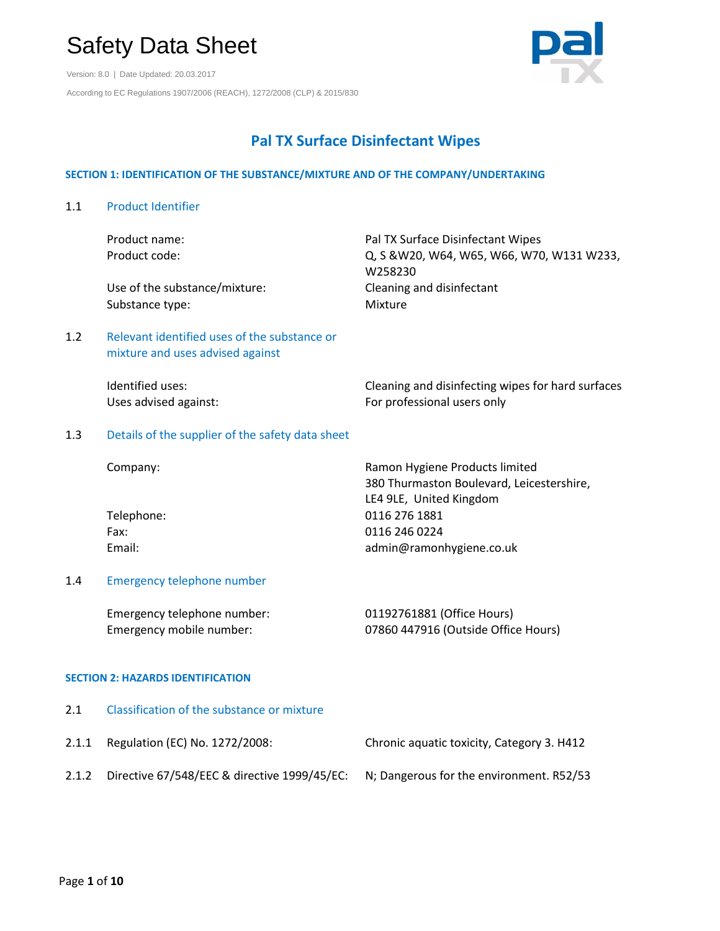Version: 8.0 | Date Updated: 20.03.2017 According to EC Regulations 1907/2006 (REACH), 1272/2008 (CLP) & 2015/830



# **Pal TX Surface Disinfectant Wipes**

### **SECTION 1: IDENTIFICATION OF THE SUBSTANCE/MIXTURE AND OF THE COMPANY/UNDERTAKING**

1.1 Product Identifier Product name: National Pal TX Surface Disinfectant Wipes Product code: Q, S &W20, W64, W65, W66, W70, W131 W233, W258230 Use of the substance/mixture: Cleaning and disinfectant Substance type: Mixture 1.2 Relevant identified uses of the substance or mixture and uses advised against Identified uses: The Cleaning and disinfecting wipes for hard surfaces Uses advised against: The professional users only 1.3 Details of the supplier of the safety data sheet Company: Ramon Hygiene Products limited 380 Thurmaston Boulevard, Leicestershire, LE4 9LE, United Kingdom Telephone: 0116 276 1881 Fax: 0116 246 0224 Email: example admin@ramonhygiene.co.uk 1.4 Emergency telephone number Emergency telephone number: 01192761881 (Office Hours) Emergency mobile number: 07860 447916 (Outside Office Hours) **SECTION 2: HAZARDS IDENTIFICATION** 2.1 Classification of the substance or mixture 2.1.1 Regulation (EC) No. 1272/2008: Chronic aquatic toxicity, Category 3. H412

2.1.2 Directive 67/548/EEC & directive 1999/45/EC: N; Dangerous for the environment. R52/53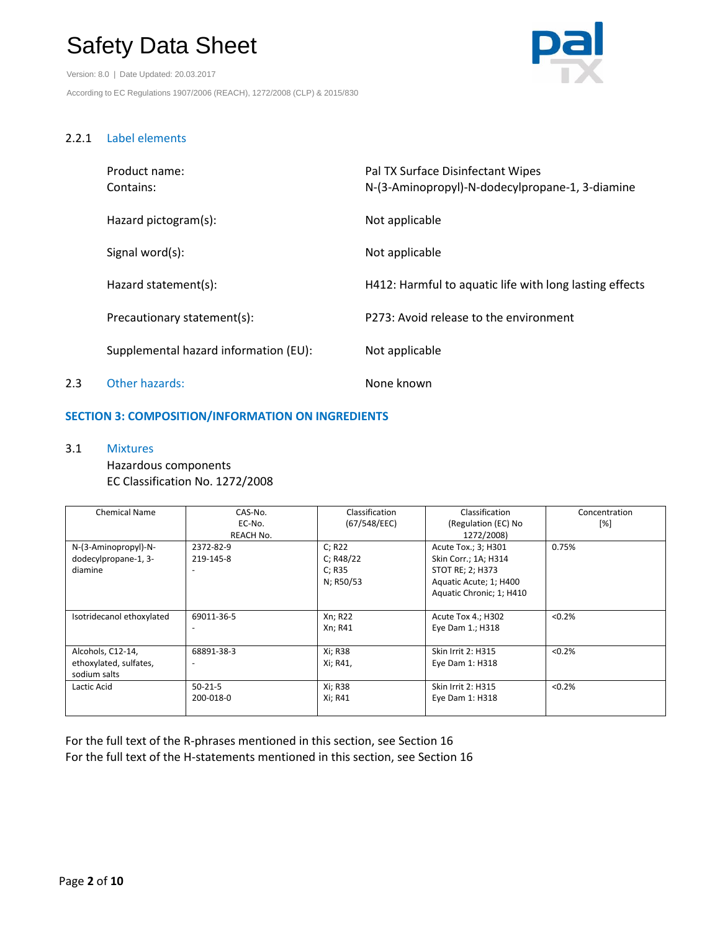Version: 8.0 | Date Updated: 20.03.2017 According to EC Regulations 1907/2006 (REACH), 1272/2008 (CLP) & 2015/830



# 2.2.1 Label elements

|     | Product name:<br>Contains:            | Pal TX Surface Disinfectant Wipes<br>N-(3-Aminopropyl)-N-dodecylpropane-1, 3-diamine |
|-----|---------------------------------------|--------------------------------------------------------------------------------------|
|     | Hazard pictogram(s):                  | Not applicable                                                                       |
|     | Signal word(s):                       | Not applicable                                                                       |
|     | Hazard statement(s):                  | H412: Harmful to aquatic life with long lasting effects                              |
|     | Precautionary statement(s):           | P273: Avoid release to the environment                                               |
|     | Supplemental hazard information (EU): | Not applicable                                                                       |
| 2.3 | Other hazards:                        | None known                                                                           |

# **SECTION 3: COMPOSITION/INFORMATION ON INGREDIENTS**

3.1 Mixtures Hazardous components EC Classification No. 1272/2008

| <b>Chemical Name</b>      | CAS-No.       | Classification | Classification            | Concentration |
|---------------------------|---------------|----------------|---------------------------|---------------|
|                           | EC-No.        | (67/548/EEC)   | (Regulation (EC) No       | [%]           |
|                           | REACH No.     |                | 1272/2008)                |               |
| N-(3-Aminopropyl)-N-      | 2372-82-9     | C; R22         | Acute Tox.; 3; H301       | 0.75%         |
| dodecylpropane-1, 3-      | 219-145-8     | C: R48/22      | Skin Corr.; 1A; H314      |               |
| diamine                   | ٠             | C; R35         | STOT RE; 2; H373          |               |
|                           |               | N; R50/53      | Aquatic Acute; 1; H400    |               |
|                           |               |                | Aquatic Chronic; 1; H410  |               |
|                           |               |                |                           |               |
| Isotridecanol ethoxylated | 69011-36-5    | Xn; R22        | Acute Tox 4.; H302        | < 0.2%        |
|                           | ٠             | Xn; R41        | Eye Dam 1.; H318          |               |
|                           |               |                |                           |               |
| Alcohols, C12-14,         | 68891-38-3    | Xi; R38        | <b>Skin Irrit 2: H315</b> | < 0.2%        |
| ethoxylated, sulfates,    | ٠             | Xi; R41,       | Eye Dam 1: H318           |               |
| sodium salts              |               |                |                           |               |
| Lactic Acid               | $50 - 21 - 5$ | Xi; R38        | <b>Skin Irrit 2: H315</b> | < 0.2%        |
|                           | 200-018-0     | Xi; R41        | Eye Dam 1: H318           |               |
|                           |               |                |                           |               |

For the full text of the R-phrases mentioned in this section, see Section 16 For the full text of the H-statements mentioned in this section, see Section 16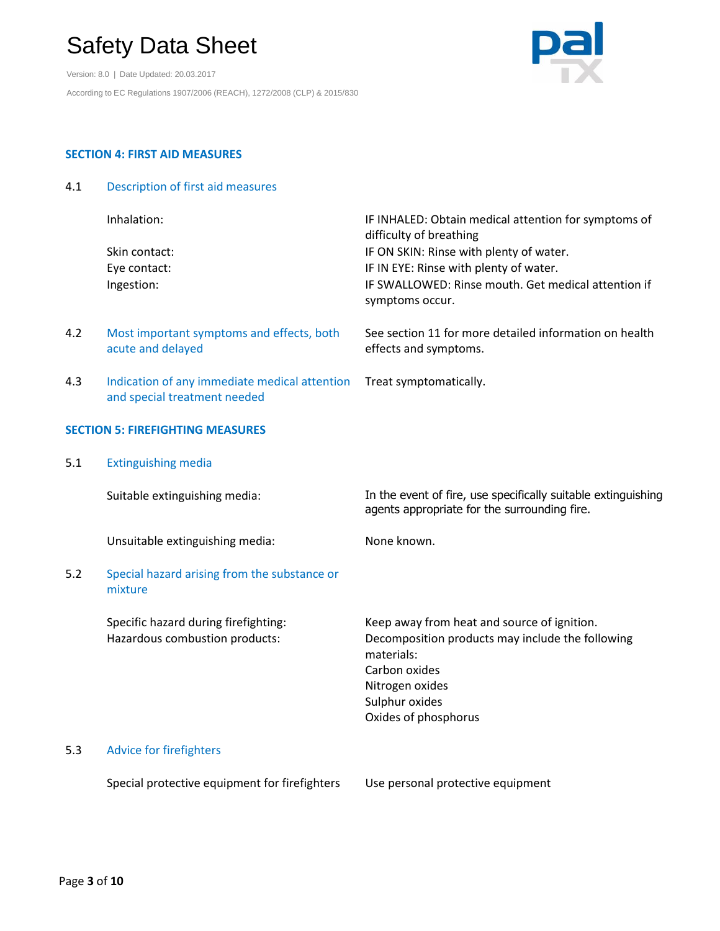Version: 8.0 | Date Updated: 20.03.2017 According to EC Regulations 1907/2006 (REACH), 1272/2008 (CLP) & 2015/830



# **SECTION 4: FIRST AID MEASURES**

4.1 Description of first aid measures

|     | Inhalation:                                                                   | IF INHALED: Obtain medical attention for symptoms of<br>difficulty of breathing                                                                                                             |
|-----|-------------------------------------------------------------------------------|---------------------------------------------------------------------------------------------------------------------------------------------------------------------------------------------|
|     | Skin contact:<br>Eye contact:<br>Ingestion:                                   | IF ON SKIN: Rinse with plenty of water.<br>IF IN EYE: Rinse with plenty of water.<br>IF SWALLOWED: Rinse mouth. Get medical attention if<br>symptoms occur.                                 |
| 4.2 | Most important symptoms and effects, both<br>acute and delayed                | See section 11 for more detailed information on health<br>effects and symptoms.                                                                                                             |
| 4.3 | Indication of any immediate medical attention<br>and special treatment needed | Treat symptomatically.                                                                                                                                                                      |
|     | <b>SECTION 5: FIREFIGHTING MEASURES</b>                                       |                                                                                                                                                                                             |
| 5.1 | <b>Extinguishing media</b>                                                    |                                                                                                                                                                                             |
|     | Suitable extinguishing media:                                                 | In the event of fire, use specifically suitable extinguishing<br>agents appropriate for the surrounding fire.                                                                               |
|     | Unsuitable extinguishing media:                                               | None known.                                                                                                                                                                                 |
| 5.2 | Special hazard arising from the substance or<br>mixture                       |                                                                                                                                                                                             |
|     | Specific hazard during firefighting:<br>Hazardous combustion products:        | Keep away from heat and source of ignition.<br>Decomposition products may include the following<br>materials:<br>Carbon oxides<br>Nitrogen oxides<br>Sulphur oxides<br>Oxides of phosphorus |
| 5.3 | <b>Advice for firefighters</b>                                                |                                                                                                                                                                                             |
|     | Special protective equipment for firefighters                                 | Use personal protective equipment                                                                                                                                                           |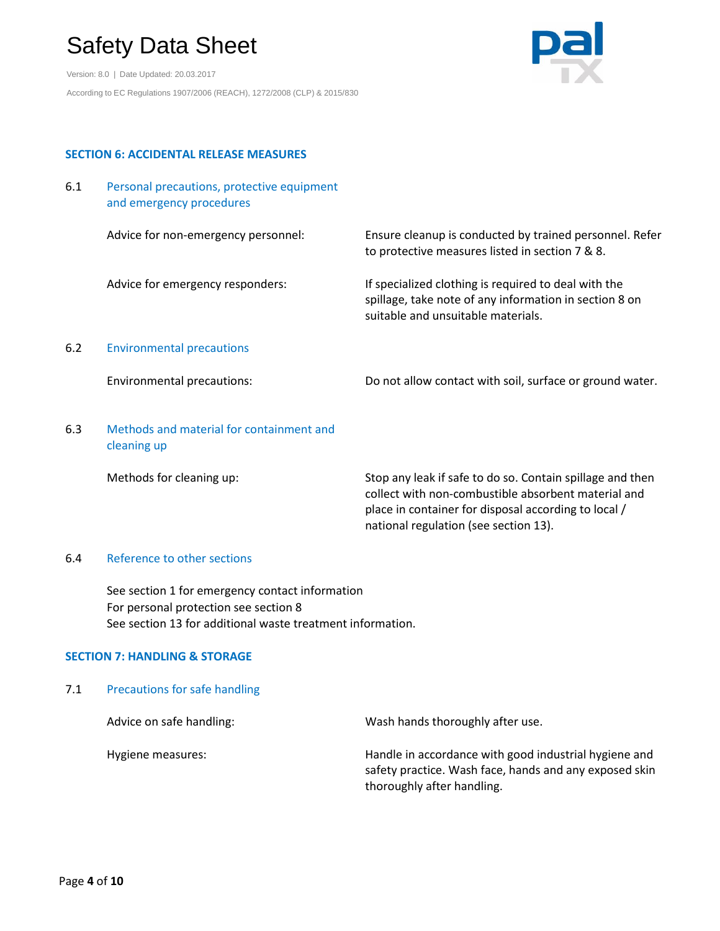Version: 8.0 | Date Updated: 20.03.2017 According to EC Regulations 1907/2006 (REACH), 1272/2008 (CLP) & 2015/830



## **SECTION 6: ACCIDENTAL RELEASE MEASURES**

| 6.1 | Personal precautions, protective equipment |
|-----|--------------------------------------------|
|     | and emergency procedures                   |

Advice for non-emergency personnel: Ensure cleanup is conducted by trained personnel. Refer to protective measures listed in section 7 & 8.

Advice for emergency responders: If specialized clothing is required to deal with the spillage, take note of any information in section 8 on suitable and unsuitable materials.

## 6.2 Environmental precautions

Environmental precautions: Do not allow contact with soil, surface or ground water.

6.3 Methods and material for containment and cleaning up

Methods for cleaning up: Stop any leak if safe to do so. Contain spillage and then collect with non-combustible absorbent material and place in container for disposal according to local / national regulation (see section 13).

### 6.4 Reference to other sections

See section 1 for emergency contact information For personal protection see section 8 See section 13 for additional waste treatment information.

# **SECTION 7: HANDLING & STORAGE**

# 7.1 Precautions for safe handling

| Advice on safe handling: | Wash hands thoroughly after use.                                                                                                              |
|--------------------------|-----------------------------------------------------------------------------------------------------------------------------------------------|
| Hygiene measures:        | Handle in accordance with good industrial hygiene and<br>safety practice. Wash face, hands and any exposed skin<br>thoroughly after handling. |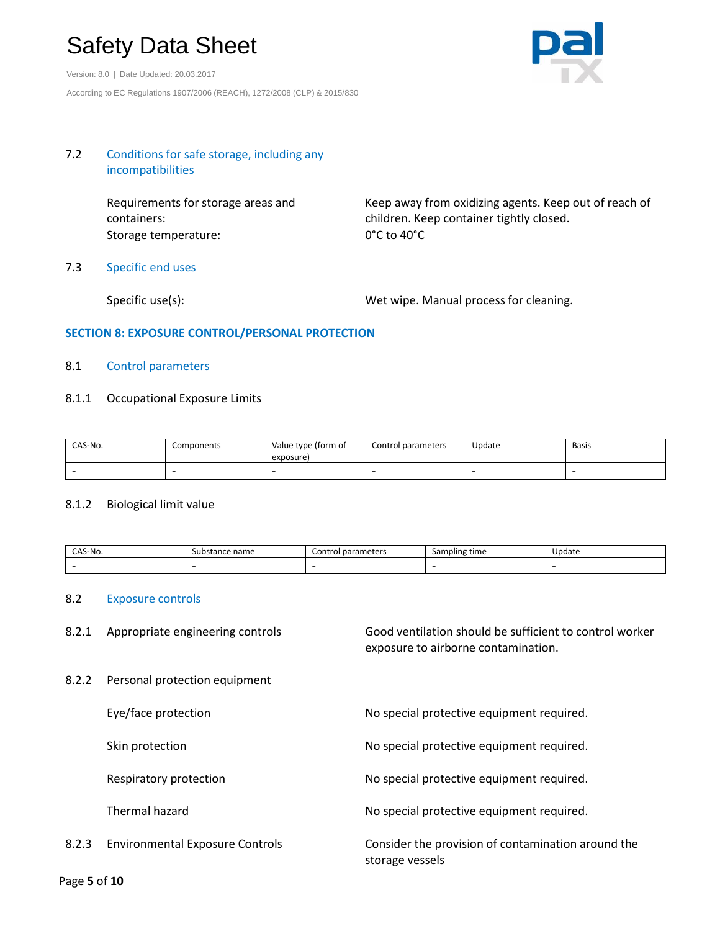Version: 8.0 | Date Updated: 20.03.2017 According to EC Regulations 1907/2006 (REACH), 1272/2008 (CLP) & 2015/830



## 7.2 Conditions for safe storage, including any incompatibilities

Requirements for storage areas and containers: Storage temperature: 0°C to 40°C

Keep away from oxidizing agents. Keep out of reach of children. Keep container tightly closed.

### 7.3 Specific end uses

Specific use(s): Specific use(s): Wet wipe. Manual process for cleaning.

## **SECTION 8: EXPOSURE CONTROL/PERSONAL PROTECTION**

### 8.1 Control parameters

#### 8.1.1 Occupational Exposure Limits

| CAS-No. | Components | Value type (form of<br>exposure) | Control parameters | Update | <b>Basis</b> |
|---------|------------|----------------------------------|--------------------|--------|--------------|
|         |            |                                  |                    |        | -            |

#### 8.1.2 Biological limit value

| $^{\circ}$ AS-No. | sur<br>name<br>ndik. | - -<br>∷ont | time<br>Sampling         | 'Jodate |
|-------------------|----------------------|-------------|--------------------------|---------|
| -                 | -                    | -           | $\overline{\phantom{0}}$ |         |

### 8.2 Exposure controls

8.2.1 Appropriate engineering controls Good ventilation should be sufficient to control worker exposure to airborne contamination.

8.2.2 Personal protection equipment

|       | Eye/face protection                    | No special protective equipment required.                             |
|-------|----------------------------------------|-----------------------------------------------------------------------|
|       | Skin protection                        | No special protective equipment required.                             |
|       | Respiratory protection                 | No special protective equipment required.                             |
|       | Thermal hazard                         | No special protective equipment required.                             |
| 8.2.3 | <b>Environmental Exposure Controls</b> | Consider the provision of contamination around the<br>storage vessels |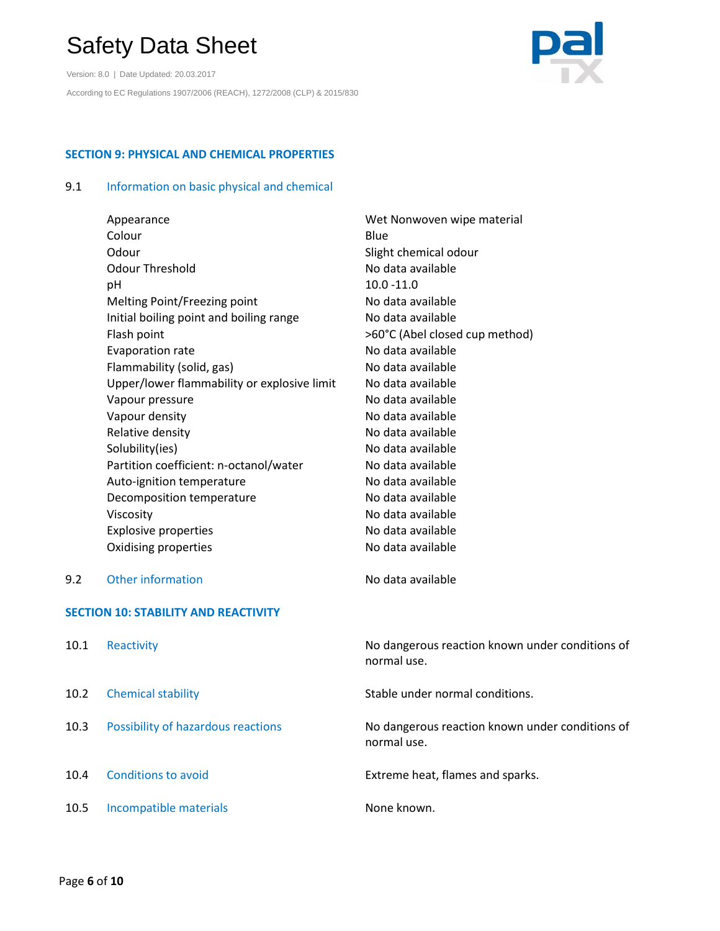Version: 8.0 | Date Updated: 20.03.2017 According to EC Regulations 1907/2006 (REACH), 1272/2008 (CLP) & 2015/830



# **SECTION 9: PHYSICAL AND CHEMICAL PROPERTIES**

# 9.1 Information on basic physical and chemical

|     | Appearance                                  | Wet Nonwoven wipe material     |
|-----|---------------------------------------------|--------------------------------|
|     | Colour                                      | Blue                           |
|     | Odour                                       | Slight chemical odour          |
|     | <b>Odour Threshold</b>                      | No data available              |
|     | рH                                          | $10.0 - 11.0$                  |
|     | Melting Point/Freezing point                | No data available              |
|     | Initial boiling point and boiling range     | No data available              |
|     | Flash point                                 | >60°C (Abel closed cup method) |
|     | Evaporation rate                            | No data available              |
|     | Flammability (solid, gas)                   | No data available              |
|     | Upper/lower flammability or explosive limit | No data available              |
|     | Vapour pressure                             | No data available              |
|     | Vapour density                              | No data available              |
|     | Relative density                            | No data available              |
|     | Solubility(ies)                             | No data available              |
|     | Partition coefficient: n-octanol/water      | No data available              |
|     | Auto-ignition temperature                   | No data available              |
|     | Decomposition temperature                   | No data available              |
|     | Viscosity                                   | No data available              |
|     | <b>Explosive properties</b>                 | No data available              |
|     | Oxidising properties                        | No data available              |
| 9.2 | <b>Other information</b>                    | No data available              |
|     | <b>SECTION 10: STABILITY AND REACTIVITY</b> |                                |

| 10.1 | Reactivity                         | No dangerous reaction known under conditions of<br>normal use. |
|------|------------------------------------|----------------------------------------------------------------|
| 10.2 | <b>Chemical stability</b>          | Stable under normal conditions.                                |
| 10.3 | Possibility of hazardous reactions | No dangerous reaction known under conditions of<br>normal use. |
| 10.4 | Conditions to avoid                | Extreme heat, flames and sparks.                               |
| 10.5 | Incompatible materials             | None known.                                                    |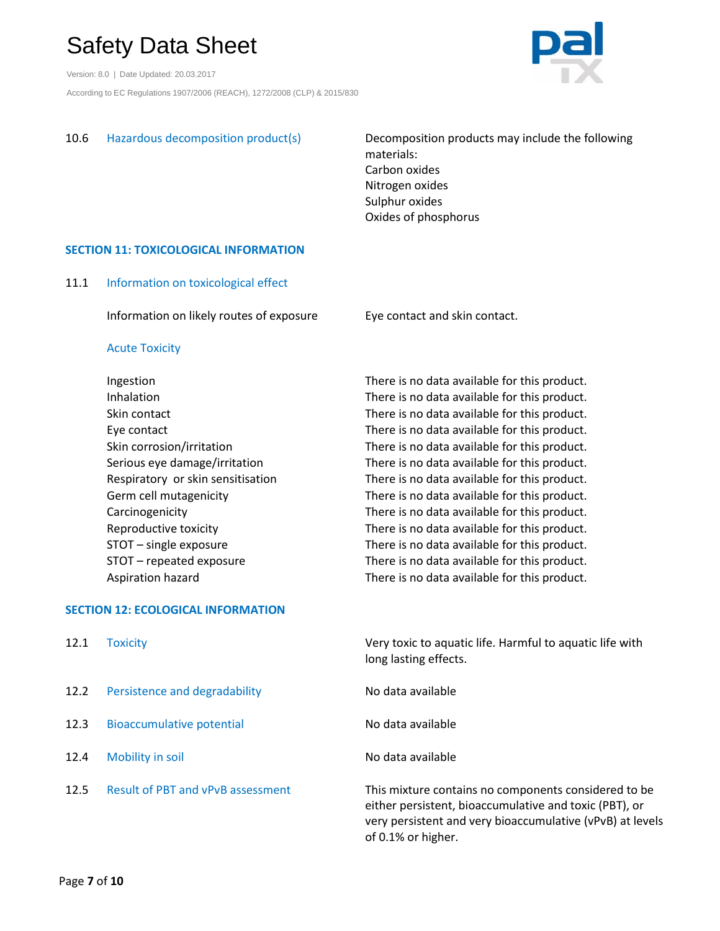Version: 8.0 | Date Updated: 20.03.2017 According to EC Regulations 1907/2006 (REACH), 1272/2008 (CLP) & 2015/830



10.6 Hazardous decomposition product(s) Decomposition products may include the following materials: Carbon oxides Nitrogen oxides Sulphur oxides Oxides of phosphorus

# **SECTION 11: TOXICOLOGICAL INFORMATION**

# 11.1 Information on toxicological effect

Information on likely routes of exposure Eye contact and skin contact.

# Acute Toxicity

Ingestion There is no data available for this product. Inhalation There is no data available for this product. Skin contact Skin contact and There is no data available for this product. Eye contact There is no data available for this product. Skin corrosion/irritation There is no data available for this product. Serious eye damage/irritation There is no data available for this product. Respiratory or skin sensitisation There is no data available for this product. Germ cell mutagenicity There is no data available for this product. Carcinogenicity There is no data available for this product. Reproductive toxicity There is no data available for this product. STOT – single exposure There is no data available for this product. STOT – repeated exposure There is no data available for this product. Aspiration hazard There is no data available for this product.

# **SECTION 12: ECOLOGICAL INFORMATION**

| 12.1 | <b>Toxicity</b>                          | Very toxic to aquatic life. Harmful to aquatic life with<br>long lasting effects.                                                                                                                 |
|------|------------------------------------------|---------------------------------------------------------------------------------------------------------------------------------------------------------------------------------------------------|
| 12.2 | Persistence and degradability            | No data available                                                                                                                                                                                 |
| 12.3 | <b>Bioaccumulative potential</b>         | No data available                                                                                                                                                                                 |
| 12.4 | Mobility in soil                         | No data available                                                                                                                                                                                 |
| 12.5 | <b>Result of PBT and vPvB assessment</b> | This mixture contains no components considered to be<br>either persistent, bioaccumulative and toxic (PBT), or<br>very persistent and very bioaccumulative (vPvB) at levels<br>of 0.1% or higher. |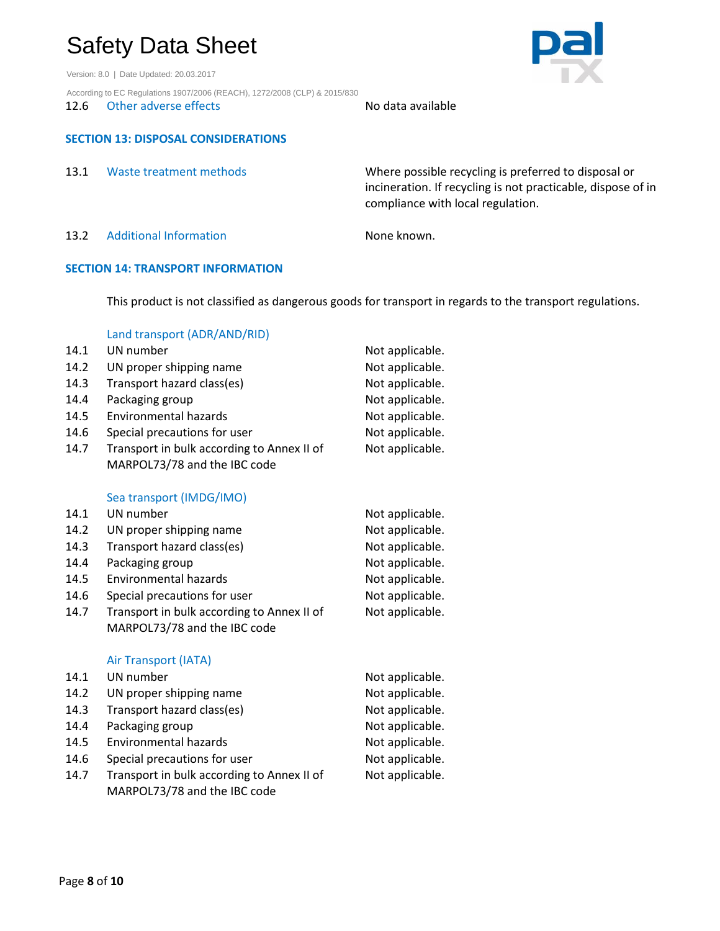Version: 8.0 | Date Updated: 20.03.2017

According to EC Regulations 1907/2006 (REACH), 1272/2008 (CLP) & 2015/830

12.6 Other adverse effects No data available

# **SECTION 13: DISPOSAL CONSIDERATIONS**

| 13.1 | Waste treatment methods       | Where possible recycling is preferred to disposal or<br>incineration. If recycling is not practicable, dispose of in<br>compliance with local regulation. |
|------|-------------------------------|-----------------------------------------------------------------------------------------------------------------------------------------------------------|
| 13.2 | <b>Additional Information</b> | None known.                                                                                                                                               |

## **SECTION 14: TRANSPORT INFORMATION**

This product is not classified as dangerous goods for transport in regards to the transport regulations.

## Land transport (ADR/AND/RID)

| 14.1 | UN number                                  | Not applicable. |
|------|--------------------------------------------|-----------------|
| 14.2 | UN proper shipping name                    | Not applicable. |
| 14.3 | Transport hazard class(es)                 | Not applicable. |
| 14.4 | Packaging group                            | Not applicable. |
| 14.5 | <b>Environmental hazards</b>               | Not applicable. |
| 14.6 | Special precautions for user               | Not applicable. |
| 14.7 | Transport in bulk according to Annex II of | Not applicable. |
|      | MARPOL73/78 and the IBC code               |                 |

### Sea transport (IMDG/IMO)

| 14.1 | UN number                                                                  | Not applicable. |
|------|----------------------------------------------------------------------------|-----------------|
| 14.2 | UN proper shipping name                                                    | Not applicable. |
| 14.3 | Transport hazard class(es)                                                 | Not applicable. |
| 14.4 | Packaging group                                                            | Not applicable. |
| 14.5 | Environmental hazards                                                      | Not applicable. |
| 14.6 | Special precautions for user                                               | Not applicable. |
| 14.7 | Transport in bulk according to Annex II of<br>MARPOL73/78 and the IBC code | Not applicable. |
|      | Air Transport (IATA)                                                       |                 |
| 14.1 | UN number                                                                  | Not applicable. |
| 14.2 | UN proper shipping name                                                    | Not applicable. |

14.3 Transport hazard class(es) Not applicable. 14.4 Packaging group not applicable. 14.5 Environmental hazards Not applicable. 14.6 Special precautions for user Not applicable. 14.7 Transport in bulk according to Annex II of Not applicable.

MARPOL73/78 and the IBC code

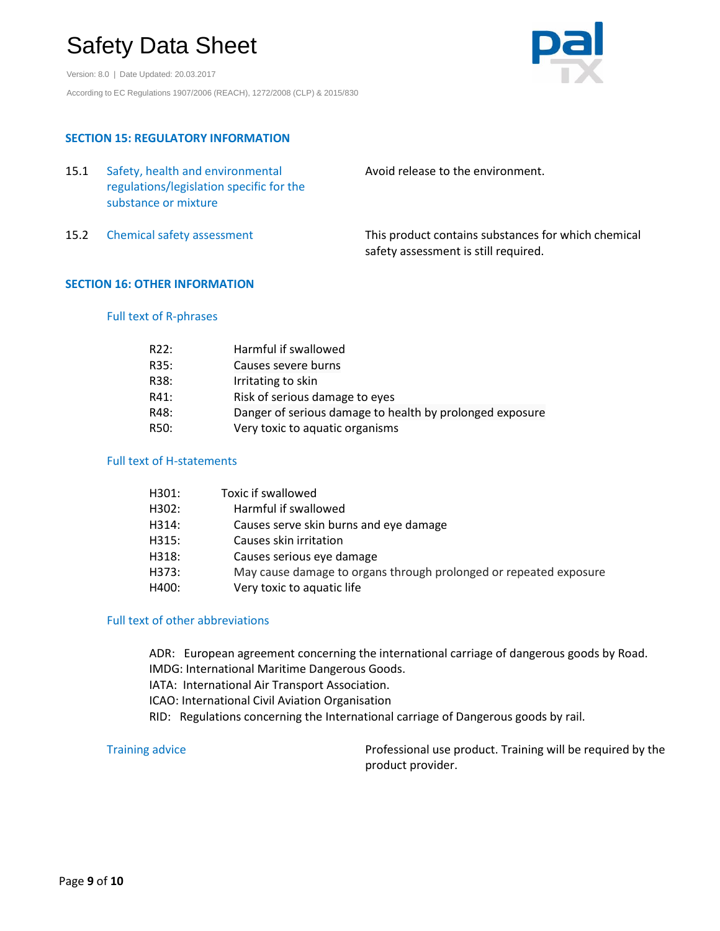Version: 8.0 | Date Updated: 20.03.2017 According to EC Regulations 1907/2006 (REACH), 1272/2008 (CLP) & 2015/830



# **SECTION 15: REGULATORY INFORMATION**

| 15.1 | Safety, health and environmental<br>regulations/legislation specific for the<br>substance or mixture | Avoid release to the environment.                                                           |
|------|------------------------------------------------------------------------------------------------------|---------------------------------------------------------------------------------------------|
| 15.2 | Chemical safety assessment                                                                           | This product contains substances for which chemical<br>safety assessment is still required. |

## **SECTION 16: OTHER INFORMATION**

# Full text of R-phrases

| R22: | Harmful if swallowed                                     |
|------|----------------------------------------------------------|
| R35: | Causes severe burns                                      |
| R38: | Irritating to skin                                       |
| R41: | Risk of serious damage to eyes                           |
| R48: | Danger of serious damage to health by prolonged exposure |
| R50: | Very toxic to aquatic organisms                          |

## Full text of H-statements

| H301: | Toxic if swallowed                                                |
|-------|-------------------------------------------------------------------|
| H302: | Harmful if swallowed                                              |
| H314: | Causes serve skin burns and eye damage                            |
| H315: | Causes skin irritation                                            |
| H318: | Causes serious eye damage                                         |
| H373: | May cause damage to organs through prolonged or repeated exposure |
| H400: | Very toxic to aquatic life                                        |
|       |                                                                   |

# Full text of other abbreviations

ADR: European agreement concerning the international carriage of dangerous goods by Road. IMDG: International Maritime Dangerous Goods. IATA: International Air Transport Association. ICAO: International Civil Aviation Organisation RID: Regulations concerning the International carriage of Dangerous goods by rail.

Training advice **Professional use product. Training will be required by the** Professional use product. Training will be required by the product provider.